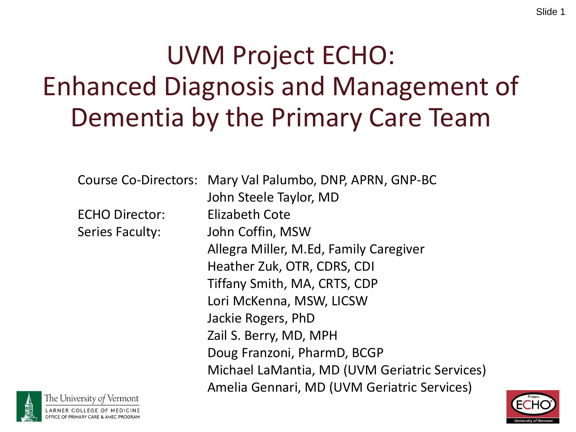# UVM Project ECHO: Enhanced Diagnosis and Management of Dementia by the Primary Care Team

Course Co-Directors: Mary Val Palumbo, DNP, APRN, GNP-BC

ECHO Director: Elizabeth Cote

The University of Vermont

John Steele Taylor, MD Series Faculty: John Coffin, MSW Allegra Miller, M.Ed, Family Caregiver Heather Zuk, OTR, CDRS, CDI Tiffany Smith, MA, CRTS, CDP Lori McKenna, MSW, LICSW Jackie Rogers, PhD Zail S. Berry, MD, MPH Doug Franzoni, PharmD, BCGP Michael LaMantia, MD (UVM Geriatric Services) Amelia Gennari, MD (UVM Geriatric Services)

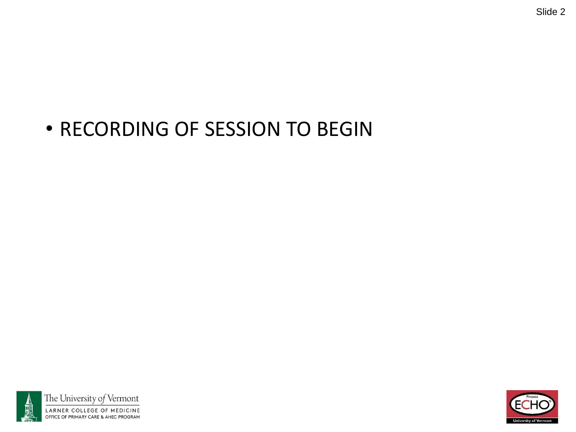#### • RECORDING OF SESSION TO BEGIN



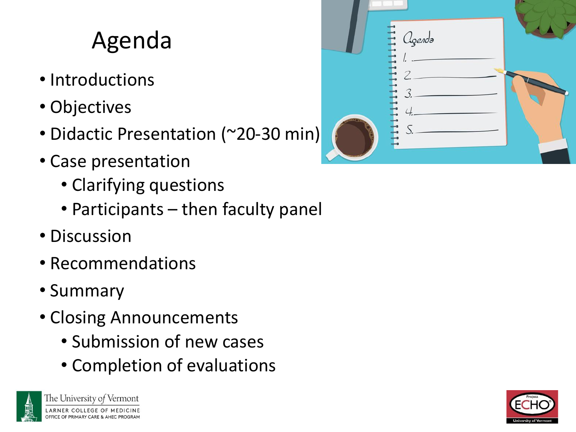## Agenda

- Introductions
- Objectives
- Didactic Presentation (~20-30 min)
- Case presentation
	- Clarifying questions
	- Participants then faculty panel
- Discussion
- Recommendations
- Summary
- Closing Announcements
	- Submission of new cases
	- Completion of evaluations





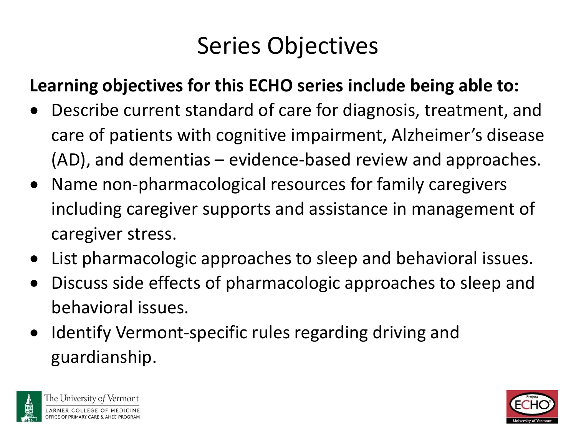#### Series Objectives

#### **Learning objectives for this ECHO series include being able to:**

- Describe current standard of care for diagnosis, treatment, and care of patients with cognitive impairment, Alzheimer's disease (AD), and dementias – evidence-based review and approaches.
- Name non-pharmacological resources for family caregivers including caregiver supports and assistance in management of caregiver stress.
- List pharmacologic approaches to sleep and behavioral issues.
- Discuss side effects of pharmacologic approaches to sleep and behavioral issues.
- Identify Vermont-specific rules regarding driving and guardianship.



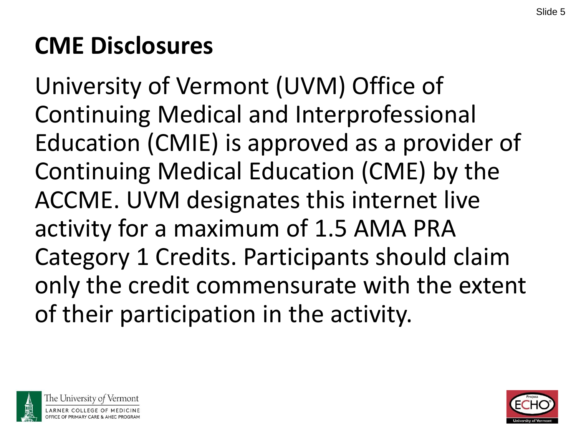## **CME Disclosures**

University of Vermont (UVM) Office of Continuing Medical and Interprofessional Education (CMIE) is approved as a provider of Continuing Medical Education (CME) by the ACCME. UVM designates this internet live activity for a maximum of 1.5 AMA PRA Category 1 Credits. Participants should claim only the credit commensurate with the extent of their participation in the activity.



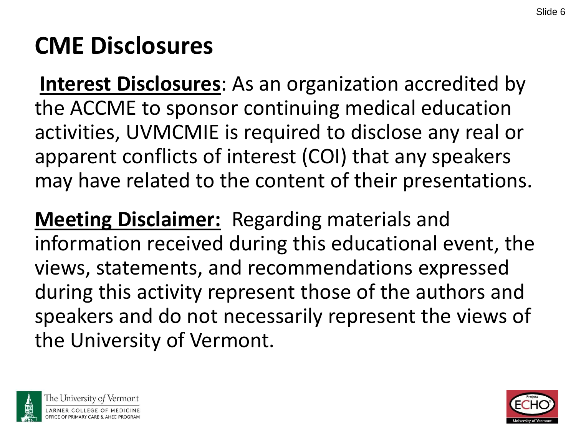#### **CME Disclosures**

**Interest Disclosures**: As an organization accredited by the ACCME to sponsor continuing medical education activities, UVMCMIE is required to disclose any real or apparent conflicts of interest (COI) that any speakers may have related to the content of their presentations.

**Meeting Disclaimer:** Regarding materials and information received during this educational event, the views, statements, and recommendations expressed during this activity represent those of the authors and speakers and do not necessarily represent the views of the University of Vermont.



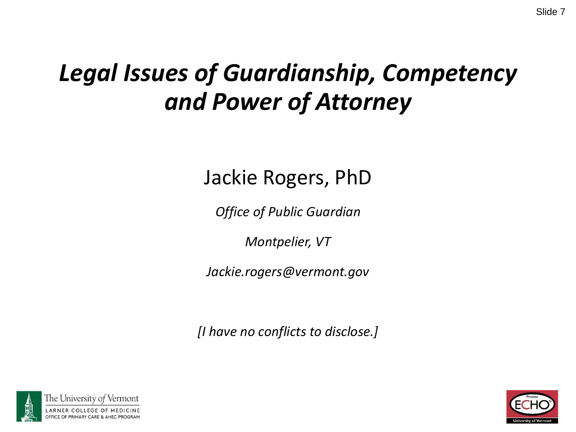#### *Legal Issues of Guardianship, Competency and Power of Attorney*

Jackie Rogers, PhD

*Office of Public Guardian*

*Montpelier, VT*

*Jackie.rogers@vermont.gov*

*[I have no conflicts to disclose.]*



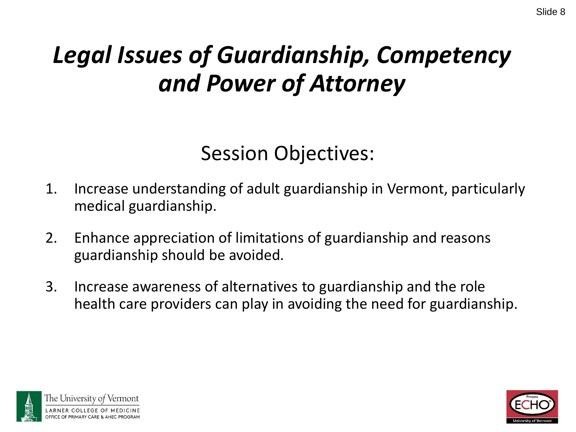## *Legal Issues of Guardianship, Competency and Power of Attorney*

#### Session Objectives:

- 1. Increase understanding of adult guardianship in Vermont, particularly medical guardianship.
- 2. Enhance appreciation of limitations of guardianship and reasons guardianship should be avoided.
- 3. Increase awareness of alternatives to guardianship and the role health care providers can play in avoiding the need for guardianship.



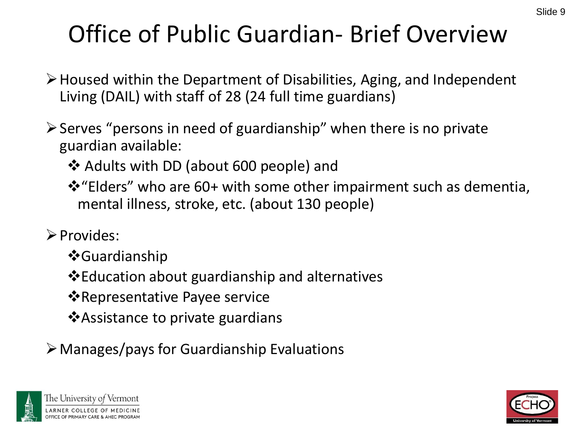# Office of Public Guardian- Brief Overview

- ➢Housed within the Department of Disabilities, Aging, and Independent Living (DAIL) with staff of 28 (24 full time guardians)
- $\triangleright$  Serves "persons in need of guardianship" when there is no private guardian available:
	- ❖ Adults with DD (about 600 people) and
	- ❖"Elders" who are 60+ with some other impairment such as dementia, mental illness, stroke, etc. (about 130 people)
- ➢Provides:
	- ❖Guardianship
	- ❖Education about guardianship and alternatives
	- ❖Representative Payee service
	- ❖Assistance to private guardians
- ➢Manages/pays for Guardianship Evaluations



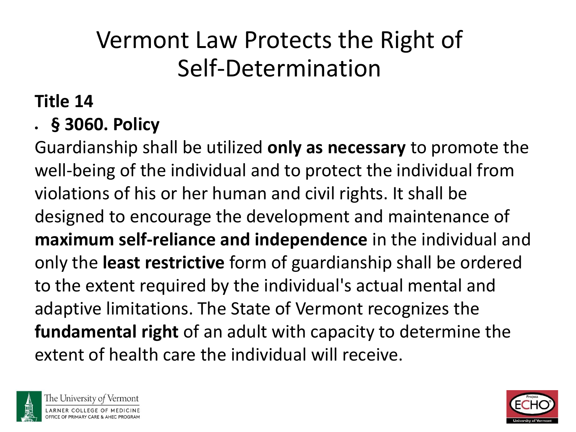#### Vermont Law Protects the Right of Self-Determination

#### **Title 14**

#### • **§ 3060. Policy**

Guardianship shall be utilized **only as necessary** to promote the well-being of the individual and to protect the individual from violations of his or her human and civil rights. It shall be designed to encourage the development and maintenance of **maximum self-reliance and independence** in the individual and only the **least restrictive** form of guardianship shall be ordered to the extent required by the individual's actual mental and adaptive limitations. The State of Vermont recognizes the **fundamental right** of an adult with capacity to determine the extent of health care the individual will receive.



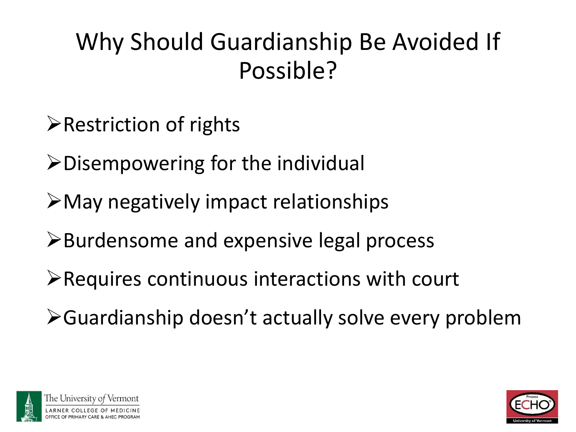## Why Should Guardianship Be Avoided If Possible?

- ➢Restriction of rights
- ➢Disempowering for the individual
- ➢May negatively impact relationships
- ➢Burdensome and expensive legal process
- ➢Requires continuous interactions with court
- ➢Guardianship doesn't actually solve every problem



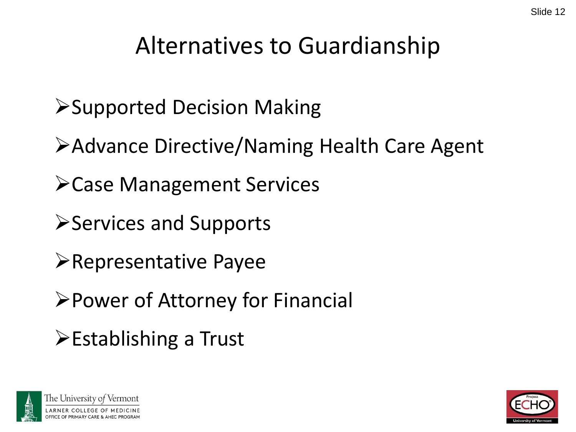#### Alternatives to Guardianship

- ➢Supported Decision Making
- ➢Advance Directive/Naming Health Care Agent
- ➢Case Management Services
- ➢Services and Supports
- ➢Representative Payee
- ➢Power of Attorney for Financial
- ➢Establishing a Trust



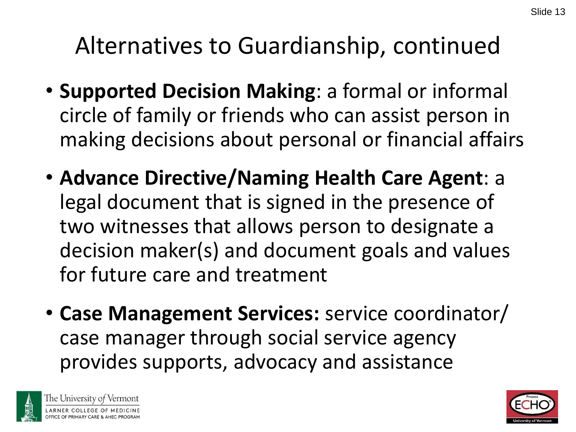### Alternatives to Guardianship, continued

- **Supported Decision Making**: a formal or informal circle of family or friends who can assist person in making decisions about personal or financial affairs
- **Advance Directive/Naming Health Care Agent**: a legal document that is signed in the presence of two witnesses that allows person to designate a decision maker(s) and document goals and values for future care and treatment
- **Case Management Services:** service coordinator/ case manager through social service agency provides supports, advocacy and assistance



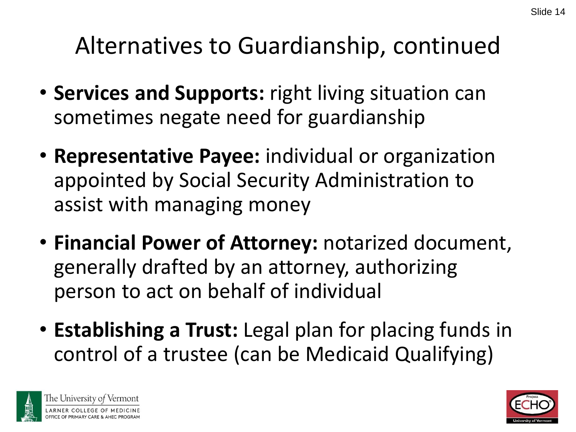#### Alternatives to Guardianship, continued

- **Services and Supports:** right living situation can sometimes negate need for guardianship
- **Representative Payee:** individual or organization appointed by Social Security Administration to assist with managing money
- **Financial Power of Attorney:** notarized document, generally drafted by an attorney, authorizing person to act on behalf of individual
- **Establishing a Trust:** Legal plan for placing funds in control of a trustee (can be Medicaid Qualifying)



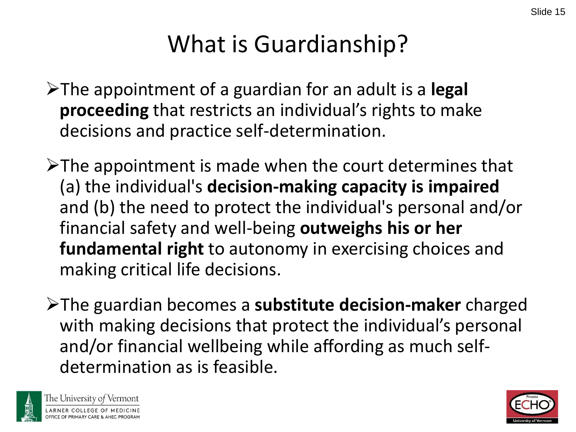## What is Guardianship?

- ➢The appointment of a guardian for an adult is a **legal proceeding** that restricts an individual's rights to make decisions and practice self-determination.
- ➢The appointment is made when the court determines that (a) the individual's **decision-making capacity is impaired**  and (b) the need to protect the individual's personal and/or financial safety and well-being **outweighs his or her fundamental right** to autonomy in exercising choices and making critical life decisions.
- ➢The guardian becomes a **substitute decision-maker** charged with making decisions that protect the individual's personal and/or financial wellbeing while affording as much selfdetermination as is feasible.



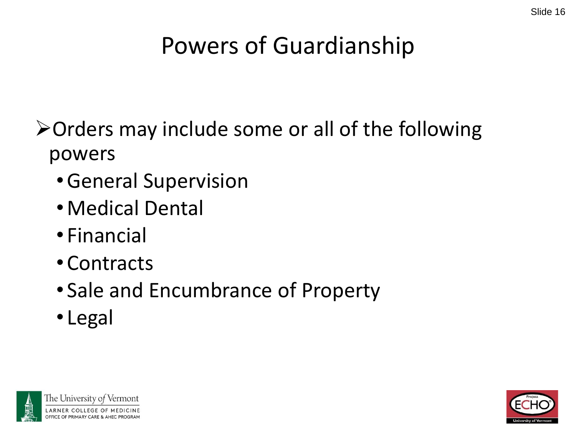## Powers of Guardianship

➢Orders may include some or all of the following powers

- •General Supervision
- •Medical Dental
- Financial
- Contracts
- Sale and Encumbrance of Property
- Legal



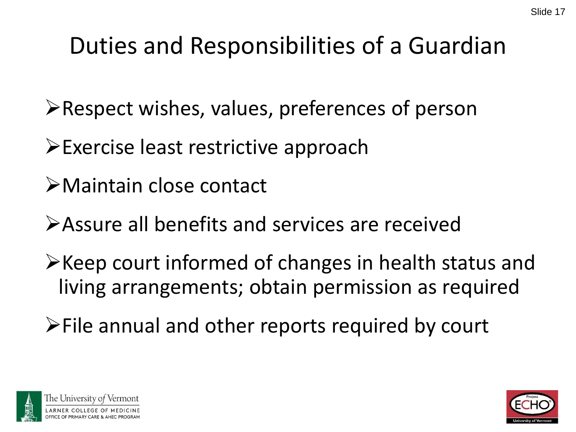## Duties and Responsibilities of a Guardian

- ➢Respect wishes, values, preferences of person
- ➢Exercise least restrictive approach
- ➢Maintain close contact
- ➢Assure all benefits and services are received
- ➢Keep court informed of changes in health status and living arrangements; obtain permission as required
- ➢File annual and other reports required by court



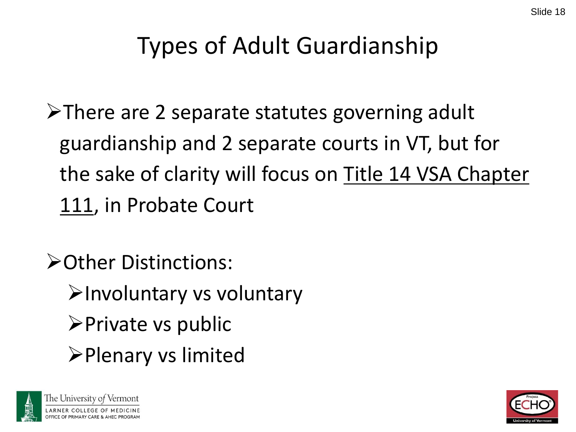#### Types of Adult Guardianship

➢There are 2 separate statutes governing adult guardianship and 2 separate courts in VT, but for the sake of clarity will focus on Title 14 VSA Chapter 111, in Probate Court

➢Other Distinctions:

- ➢Involuntary vs voluntary
- ➢Private vs public
- ➢Plenary vs limited



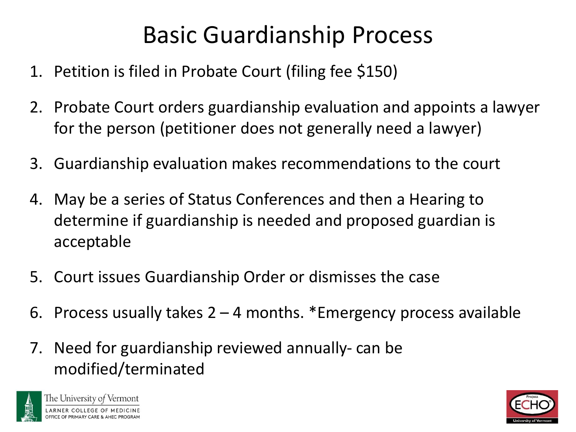## Basic Guardianship Process

- 1. Petition is filed in Probate Court (filing fee \$150)
- 2. Probate Court orders guardianship evaluation and appoints a lawyer for the person (petitioner does not generally need a lawyer)
- 3. Guardianship evaluation makes recommendations to the court
- 4. May be a series of Status Conferences and then a Hearing to determine if guardianship is needed and proposed guardian is acceptable
- 5. Court issues Guardianship Order or dismisses the case
- 6. Process usually takes  $2 4$  months. \*Emergency process available
- 7. Need for guardianship reviewed annually- can be modified/terminated



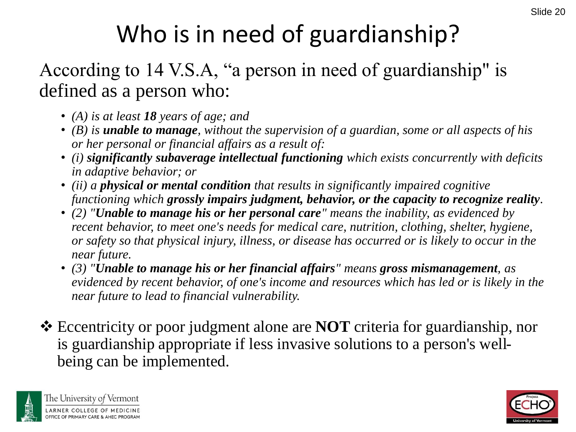# Who is in need of guardianship?

#### According to 14 V.S.A, "a person in need of guardianship" is defined as a person who:

- *(A) is at least 18 years of age; and*
- *(B) is unable to manage, without the supervision of a guardian, some or all aspects of his or her personal or financial affairs as a result of:*
- *(i) significantly subaverage intellectual functioning which exists concurrently with deficits in adaptive behavior; or*
- *(ii) a physical or mental condition that results in significantly impaired cognitive functioning which grossly impairs judgment, behavior, or the capacity to recognize reality.*
- *(2) "Unable to manage his or her personal care" means the inability, as evidenced by recent behavior, to meet one's needs for medical care, nutrition, clothing, shelter, hygiene, or safety so that physical injury, illness, or disease has occurred or is likely to occur in the near future.*
- *(3) "Unable to manage his or her financial affairs" means gross mismanagement, as evidenced by recent behavior, of one's income and resources which has led or is likely in the near future to lead to financial vulnerability.*
- ❖ Eccentricity or poor judgment alone are **NOT** criteria for guardianship, nor is guardianship appropriate if less invasive solutions to a person's wellbeing can be implemented.



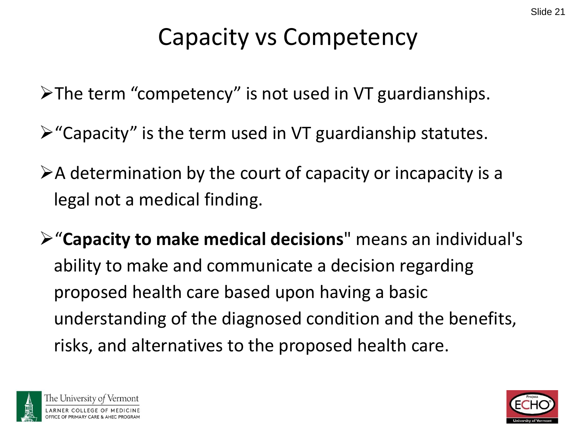#### Capacity vs Competency

➢The term "competency" is not used in VT guardianships.

- $\triangleright$  "Capacity" is the term used in VT guardianship statutes.
- $\triangleright$  A determination by the court of capacity or incapacity is a legal not a medical finding.
- ➢"**Capacity to make medical decisions**" means an individual's ability to make and communicate a decision regarding proposed health care based upon having a basic understanding of the diagnosed condition and the benefits, risks, and alternatives to the proposed health care.





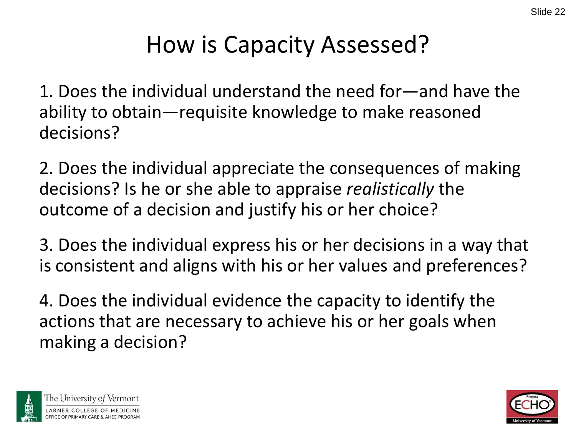#### How is Capacity Assessed?

1. Does the individual understand the need for—and have the ability to obtain—requisite knowledge to make reasoned decisions?

2. Does the individual appreciate the consequences of making decisions? Is he or she able to appraise *realistically* the outcome of a decision and justify his or her choice?

3. Does the individual express his or her decisions in a way that is consistent and aligns with his or her values and preferences?

4. Does the individual evidence the capacity to identify the actions that are necessary to achieve his or her goals when making a decision?



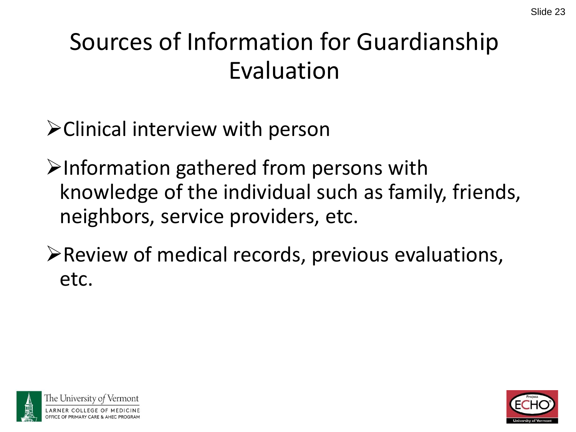### Sources of Information for Guardianship Evaluation

➢Clinical interview with person

➢Information gathered from persons with knowledge of the individual such as family, friends, neighbors, service providers, etc.

➢Review of medical records, previous evaluations, etc.



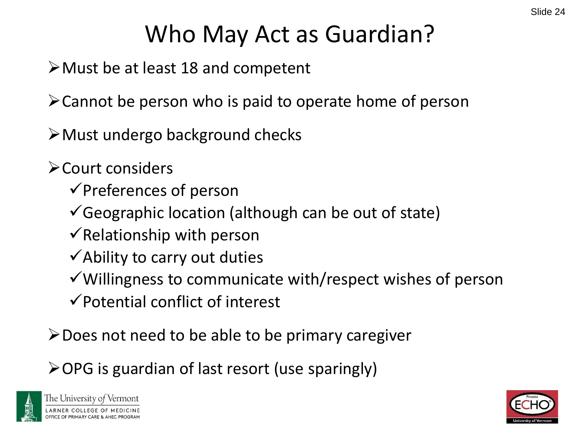## Who May Act as Guardian?

➢Must be at least 18 and competent

➢Cannot be person who is paid to operate home of person

➢Must undergo background checks

➢Court considers

✓Preferences of person

- $\checkmark$  Geographic location (although can be out of state)
- $\checkmark$  Relationship with person
- $\checkmark$  Ability to carry out duties
- ✓Willingness to communicate with/respect wishes of person
- $\checkmark$  Potential conflict of interest

➢Does not need to be able to be primary caregiver

➢OPG is guardian of last resort (use sparingly)



The University of Vermont

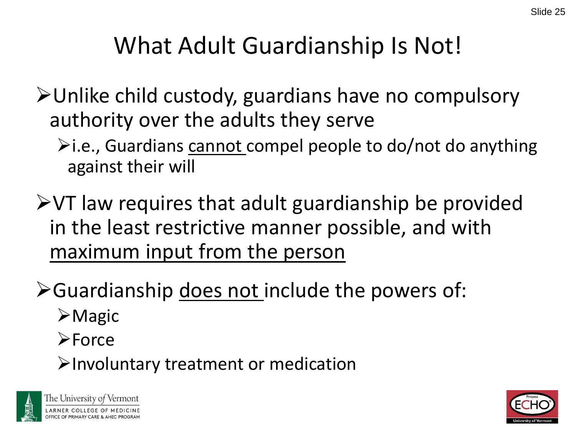#### What Adult Guardianship Is Not!

- ➢Unlike child custody, guardians have no compulsory authority over the adults they serve
	- $\blacktriangleright$ i.e., Guardians cannot compel people to do/not do anything against their will
- ➢VT law requires that adult guardianship be provided in the least restrictive manner possible, and with maximum input from the person
- ➢Guardianship does not include the powers of:
	- ➢Magic
	- ➢Force
	- ➢Involuntary treatment or medication



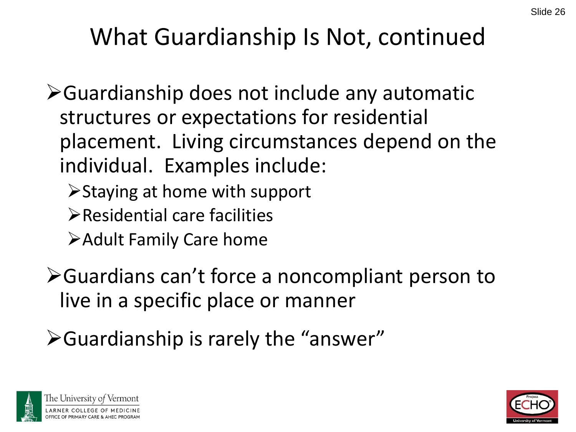## What Guardianship Is Not, continued

➢Guardianship does not include any automatic structures or expectations for residential placement. Living circumstances depend on the individual. Examples include:

- ➢Staying at home with support
- ➢Residential care facilities
- ➢Adult Family Care home
- ➢Guardians can't force a noncompliant person to live in a specific place or manner
- ➢Guardianship is rarely the "answer"



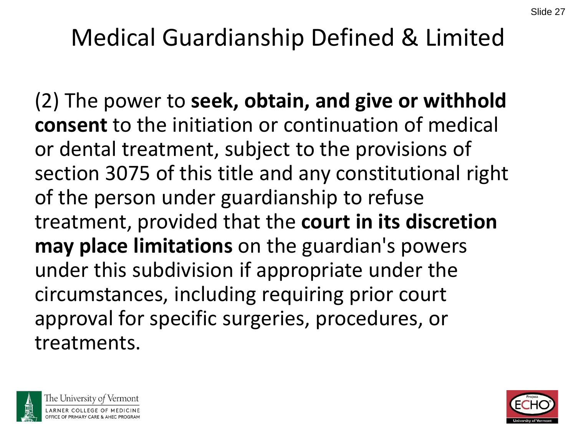#### Medical Guardianship Defined & Limited

(2) The power to **seek, obtain, and give or withhold consent** to the initiation or continuation of medical or dental treatment, subject to the provisions of section 3075 of this title and any constitutional right of the person under guardianship to refuse treatment, provided that the **court in its discretion may place limitations** on the guardian's powers under this subdivision if appropriate under the circumstances, including requiring prior court approval for specific surgeries, procedures, or treatments.



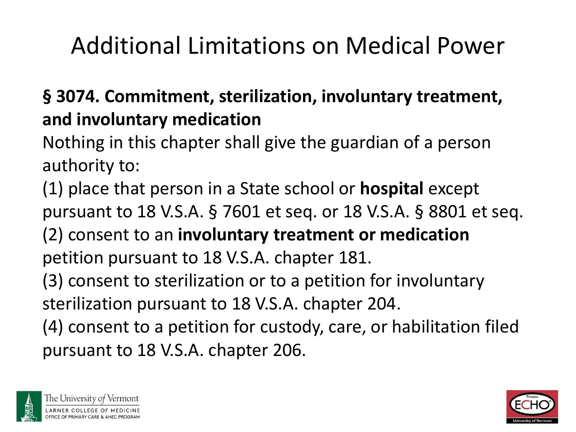## Additional Limitations on Medical Power

#### **§ 3074. Commitment, sterilization, involuntary treatment, and involuntary medication**

Nothing in this chapter shall give the guardian of a person authority to:

(1) place that person in a State school or **hospital** except pursuant to 18 V.S.A. § 7601 et seq. or 18 V.S.A. § 8801 et seq. (2) consent to an **involuntary treatment or medication**  petition pursuant to 18 V.S.A. chapter 181. (3) consent to sterilization or to a petition for involuntary sterilization pursuant to 18 V.S.A. chapter 204. (4) consent to a petition for custody, care, or habilitation filed pursuant to 18 V.S.A. chapter 206.



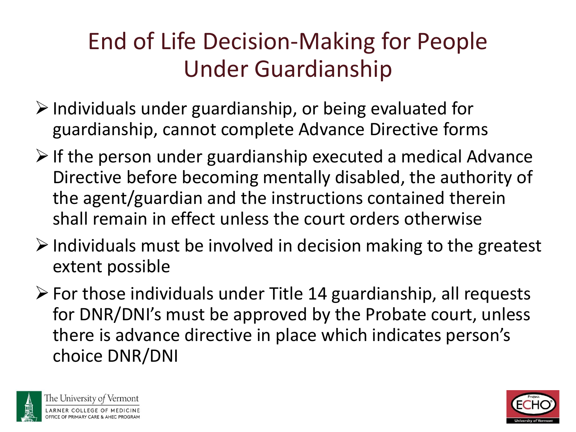#### End of Life Decision-Making for People Under Guardianship

- $\triangleright$  Individuals under guardianship, or being evaluated for guardianship, cannot complete Advance Directive forms
- $\triangleright$  If the person under guardianship executed a medical Advance Directive before becoming mentally disabled, the authority of the agent/guardian and the instructions contained therein shall remain in effect unless the court orders otherwise
- $\triangleright$  Individuals must be involved in decision making to the greatest extent possible
- $\triangleright$  For those individuals under Title 14 guardianship, all requests for DNR/DNI's must be approved by the Probate court, unless there is advance directive in place which indicates person's choice DNR/DNI



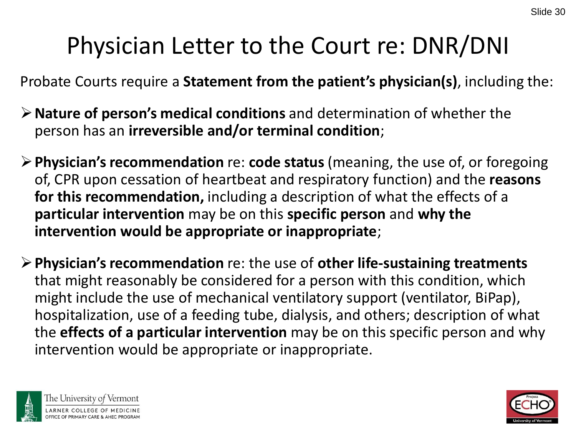#### Physician Letter to the Court re: DNR/DNI

Probate Courts require a **Statement from the patient's physician(s)**, including the:

- ➢**Nature of person's medical conditions** and determination of whether the person has an **irreversible and/or terminal condition**;
- ➢**Physician's recommendation** re: **code status** (meaning, the use of, or foregoing of, CPR upon cessation of heartbeat and respiratory function) and the **reasons for this recommendation,** including a description of what the effects of a **particular intervention** may be on this **specific person** and **why the intervention would be appropriate or inappropriate**;
- ➢**Physician's recommendation** re: the use of **other life-sustaining treatments**  that might reasonably be considered for a person with this condition, which might include the use of mechanical ventilatory support (ventilator, BiPap), hospitalization, use of a feeding tube, dialysis, and others; description of what the **effects of a particular intervention** may be on this specific person and why intervention would be appropriate or inappropriate.



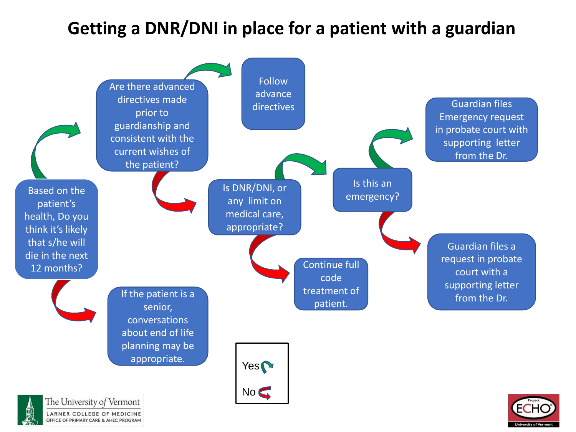#### **Getting a DNR/DNI in place for a patient with a guardian**

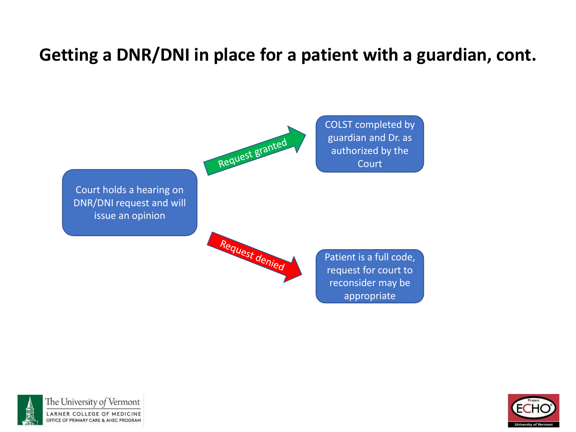#### **Getting a DNR/DNI in place for a patient with a guardian, cont.**





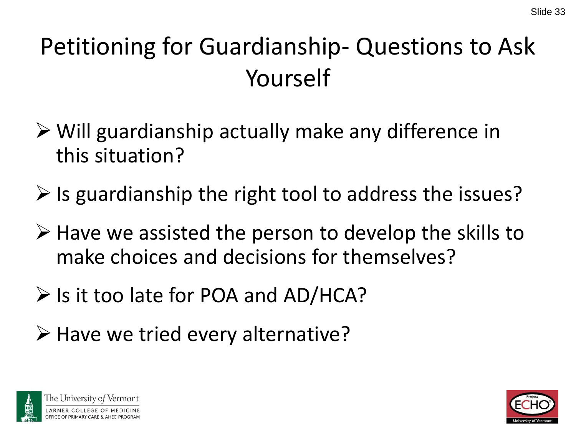# Petitioning for Guardianship- Questions to Ask Yourself

- ➢ Will guardianship actually make any difference in this situation?
- $\triangleright$  Is guardianship the right tool to address the issues?
- ➢ Have we assisted the person to develop the skills to make choices and decisions for themselves?
- ➢ Is it too late for POA and AD/HCA?
- ➢ Have we tried every alternative?



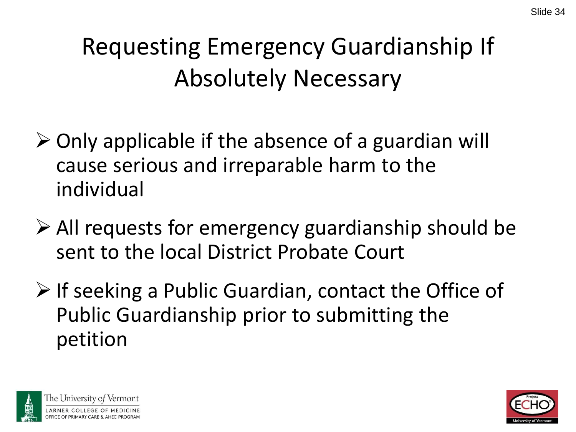# Requesting Emergency Guardianship If Absolutely Necessary

- ➢ Only applicable if the absence of a guardian will cause serious and irreparable harm to the individual
- ➢ All requests for emergency guardianship should be sent to the local District Probate Court
- ➢ If seeking a Public Guardian, contact the Office of Public Guardianship prior to submitting the petition



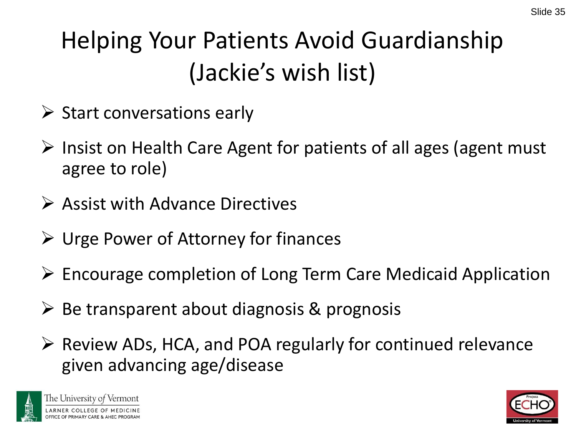# Helping Your Patients Avoid Guardianship (Jackie's wish list)

- $\triangleright$  Start conversations early
- ➢ Insist on Health Care Agent for patients of all ages (agent must agree to role)
- $\triangleright$  Assist with Advance Directives
- ➢ Urge Power of Attorney for finances
- ➢ Encourage completion of Long Term Care Medicaid Application
- $\triangleright$  Be transparent about diagnosis & prognosis
- ➢ Review ADs, HCA, and POA regularly for continued relevance given advancing age/disease



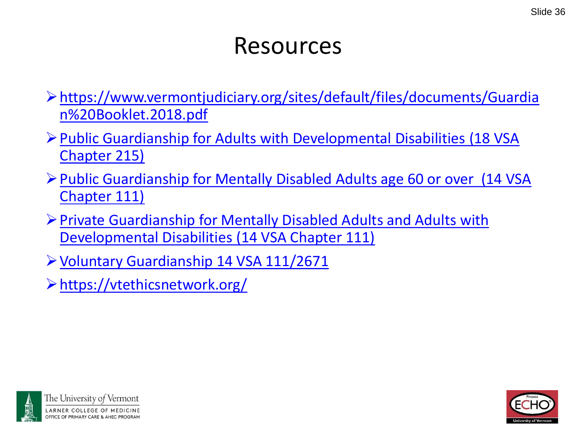#### Resources

- ➢[https://www.vermontjudiciary.org/sites/default/files/documents/Guardia](https://www.vermontjudiciary.org/sites/default/files/documents/Guardian%20Booklet.2018.pdf) n%20Booklet.2018.pdf
- ➢[Public Guardianship for Adults with Developmental Disabilities](https://legislature.vermont.gov/statutes/chapter/18/215) (18 VSA Chapter 215)
- ➢[Public Guardianship for Mentally Disabled Adults age 60 or over](https://legislature.vermont.gov/statutes/chapter/14/111) (14 VSA Chapter 111)
- ➢[Private Guardianship for Mentally Disabled Adults and Adults with](https://legislature.vermont.gov/statutes/chapter/14/111) Developmental Disabilities (14 VSA Chapter 111)
- ➢[Voluntary Guardianship 14 VSA 111/2671](https://legislature.vermont.gov/statutes/section/14/111/02671)
- ➢<https://vtethicsnetwork.org/>



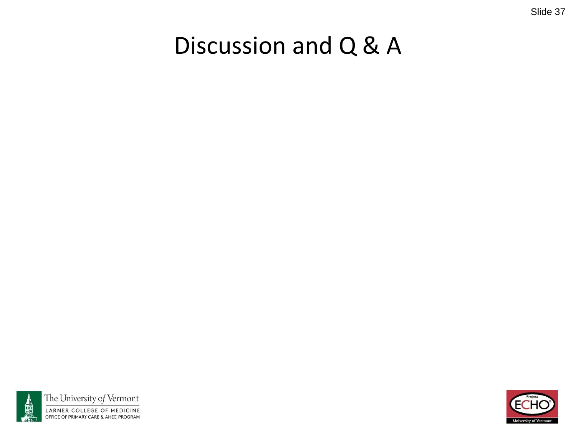#### Slide 37

#### Discussion and Q & A



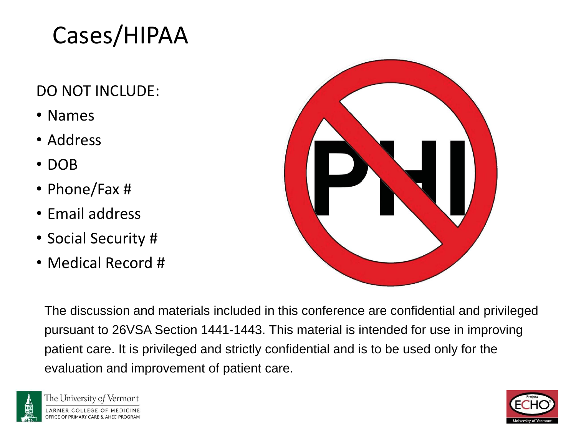#### Cases/HIPAA

#### DO NOT INCLUDE:

- Names
- Address
- DOB
- Phone/Fax #
- Email address
- Social Security #
- Medical Record #



The discussion and materials included in this conference are confidential and privileged pursuant to 26VSA Section 1441-1443. This material is intended for use in improving patient care. It is privileged and strictly confidential and is to be used only for the evaluation and improvement of patient care.



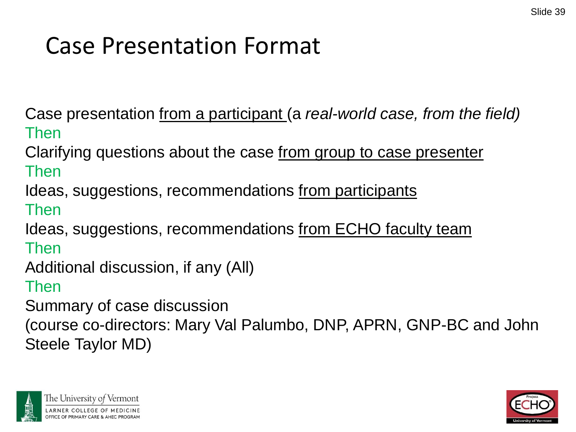#### Case Presentation Format

Case presentation from a participant (a *real-world case, from the field)* Then

Clarifying questions about the case from group to case presenter Then

Ideas, suggestions, recommendations from participants

Then

Ideas, suggestions, recommendations from ECHO faculty team

Then

Additional discussion, if any (All)

Then

Summary of case discussion

(course co-directors: Mary Val Palumbo, DNP, APRN, GNP-BC and John Steele Taylor MD)



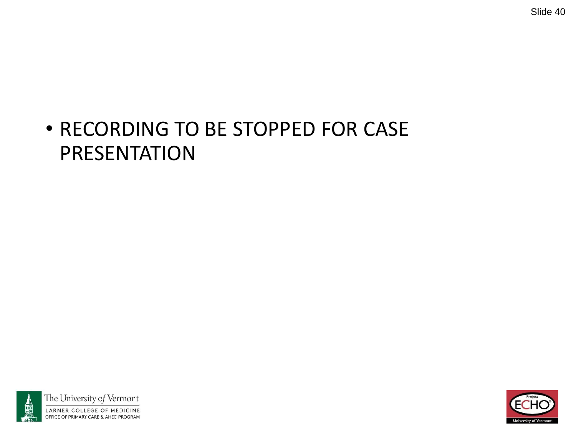#### • RECORDING TO BE STOPPED FOR CASE PRESENTATION



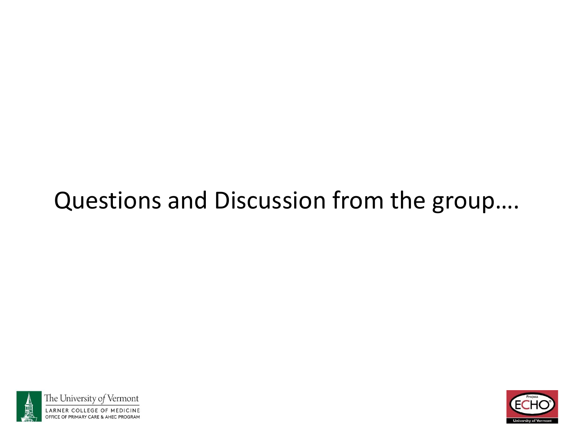#### Questions and Discussion from the group….



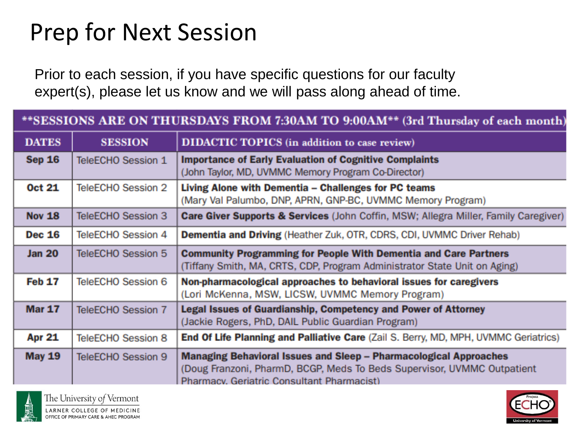#### Prep for Next Session

Prior to each session, if you have specific questions for our faculty expert(s), please let us know and we will pass along ahead of time.

| **SESSIONS ARE ON THURSDAYS FROM 7:30AM TO 9:00AM** (3rd Thursday of each month) |                    |                                                                                                                                                                                                   |
|----------------------------------------------------------------------------------|--------------------|---------------------------------------------------------------------------------------------------------------------------------------------------------------------------------------------------|
| <b>DATES</b>                                                                     | <b>SESSION</b>     | DIDACTIC TOPICS (in addition to case review)                                                                                                                                                      |
| <b>Sep 16</b>                                                                    | TeleECHO Session 1 | <b>Importance of Early Evaluation of Cognitive Complaints</b><br>(John Taylor, MD, UVMMC Memory Program Co-Director)                                                                              |
| <b>Oct 21</b>                                                                    | TeleECHO Session 2 | Living Alone with Dementia - Challenges for PC teams<br>(Mary Val Palumbo, DNP, APRN, GNP-BC, UVMMC Memory Program)                                                                               |
| <b>Nov 18</b>                                                                    | TeleECHO Session 3 | Care Giver Supports & Services (John Coffin, MSW; Allegra Miller, Family Caregiver)                                                                                                               |
| <b>Dec 16</b>                                                                    | TeleECHO Session 4 | <b>Dementia and Driving (Heather Zuk, OTR, CDRS, CDI, UVMMC Driver Rehab)</b>                                                                                                                     |
| <b>Jan 20</b>                                                                    | TeleECHO Session 5 | <b>Community Programming for People With Dementia and Care Partners</b><br>(Tiffany Smith, MA, CRTS, CDP, Program Administrator State Unit on Aging)                                              |
| <b>Feb 17</b>                                                                    | TeleECHO Session 6 | Non-pharmacological approaches to behavioral issues for caregivers<br>(Lori McKenna, MSW, LICSW, UVMMC Memory Program)                                                                            |
| <b>Mar 17</b>                                                                    | TeleECHO Session 7 | Legal Issues of Guardianship, Competency and Power of Attorney<br>(Jackie Rogers, PhD, DAIL Public Guardian Program)                                                                              |
| <b>Apr 21</b>                                                                    | TeleECHO Session 8 | End Of Life Planning and Palliative Care (Zail S. Berry, MD, MPH, UVMMC Geriatrics)                                                                                                               |
| <b>May 19</b>                                                                    | TeleECHO Session 9 | <b>Managing Behavioral Issues and Sleep - Pharmacological Approaches</b><br>(Doug Franzoni, PharmD, BCGP, Meds To Beds Supervisor, UVMMC Outpatient<br>Pharmacy, Geriatric Consultant Pharmacist) |



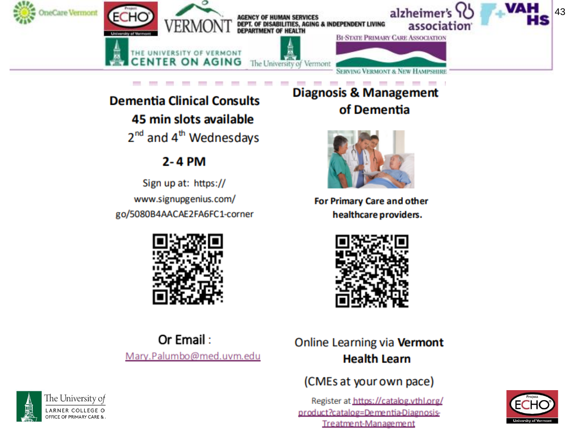

#### **Dementia Clinical Consults** 45 min slots available  $2^{nd}$  and  $4^{th}$  Wednesdays

#### 2-4 PM

Sign up at: https:// www.signupgenius.com/ go/5080B4AACAE2FA6FC1-corner



**Diagnosis & Management** of Dementia



**For Primary Care and other** healthcare providers.



Or Email: Mary.Palumbo@med.uvm.edu

#### Online Learning via Vermont **Health Learn**

#### (CMEs at your own pace)

Register at https://catalog.vthl.org/ product?catalog=Dementia-Diagnosis-Treatment-Management